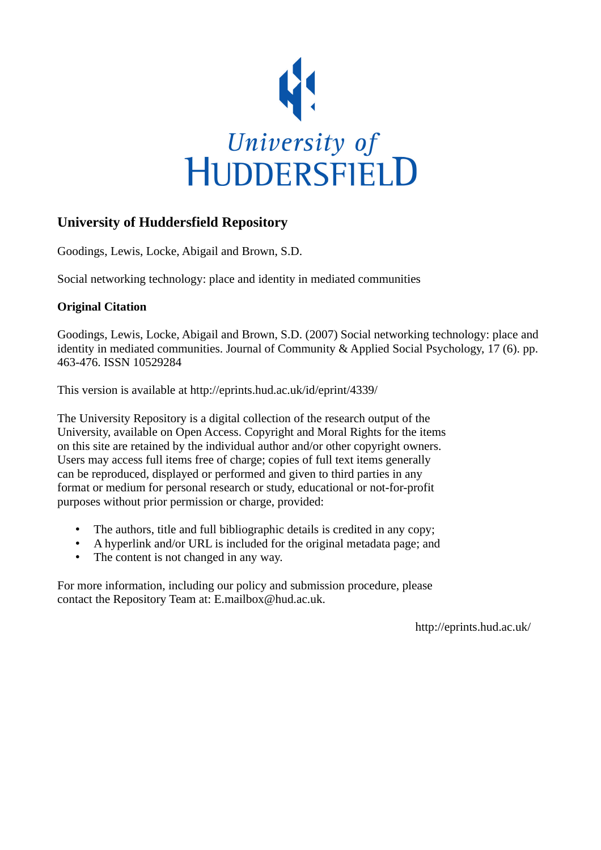

# **University of Huddersfield Repository**

Goodings, Lewis, Locke, Abigail and Brown, S.D.

Social networking technology: place and identity in mediated communities

# **Original Citation**

Goodings, Lewis, Locke, Abigail and Brown, S.D. (2007) Social networking technology: place and identity in mediated communities. Journal of Community & Applied Social Psychology, 17 (6). pp. 463-476. ISSN 10529284

This version is available at http://eprints.hud.ac.uk/id/eprint/4339/

The University Repository is a digital collection of the research output of the University, available on Open Access. Copyright and Moral Rights for the items on this site are retained by the individual author and/or other copyright owners. Users may access full items free of charge; copies of full text items generally can be reproduced, displayed or performed and given to third parties in any format or medium for personal research or study, educational or not-for-profit purposes without prior permission or charge, provided:

- The authors, title and full bibliographic details is credited in any copy;
- A hyperlink and/or URL is included for the original metadata page; and
- The content is not changed in any way.

For more information, including our policy and submission procedure, please contact the Repository Team at: E.mailbox@hud.ac.uk.

http://eprints.hud.ac.uk/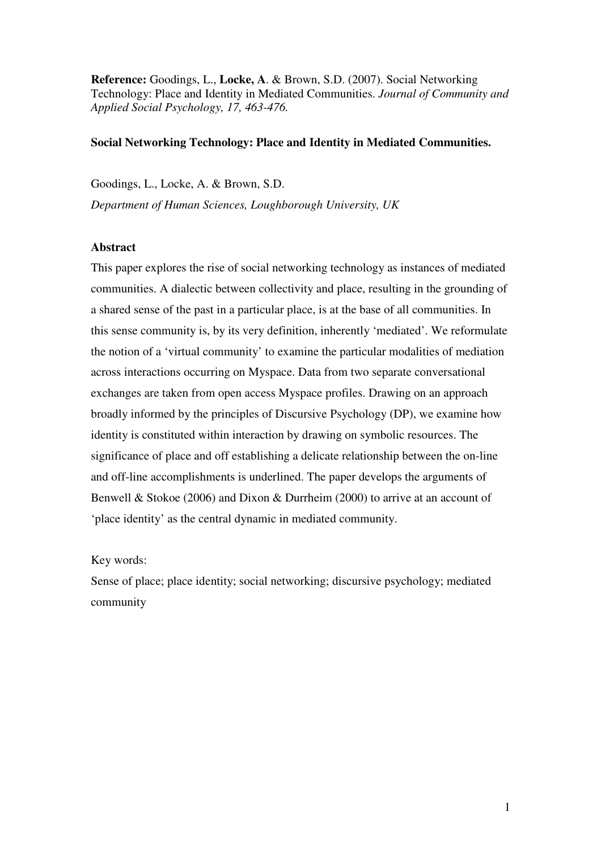**Reference:** Goodings, L., **Locke, A**. & Brown, S.D. (2007). Social Networking Technology: Place and Identity in Mediated Communities. *Journal of Community and Applied Social Psychology, 17, 463-476.*

# **Social Networking Technology: Place and Identity in Mediated Communities.**

Goodings, L., Locke, A. & Brown, S.D. *Department of Human Sciences, Loughborough University, UK* 

# **Abstract**

This paper explores the rise of social networking technology as instances of mediated communities. A dialectic between collectivity and place, resulting in the grounding of a shared sense of the past in a particular place, is at the base of all communities. In this sense community is, by its very definition, inherently 'mediated'. We reformulate the notion of a 'virtual community' to examine the particular modalities of mediation across interactions occurring on Myspace. Data from two separate conversational exchanges are taken from open access Myspace profiles. Drawing on an approach broadly informed by the principles of Discursive Psychology (DP), we examine how identity is constituted within interaction by drawing on symbolic resources. The significance of place and off establishing a delicate relationship between the on-line and off-line accomplishments is underlined. The paper develops the arguments of Benwell & Stokoe (2006) and Dixon & Durrheim (2000) to arrive at an account of 'place identity' as the central dynamic in mediated community.

Key words:

Sense of place; place identity; social networking; discursive psychology; mediated community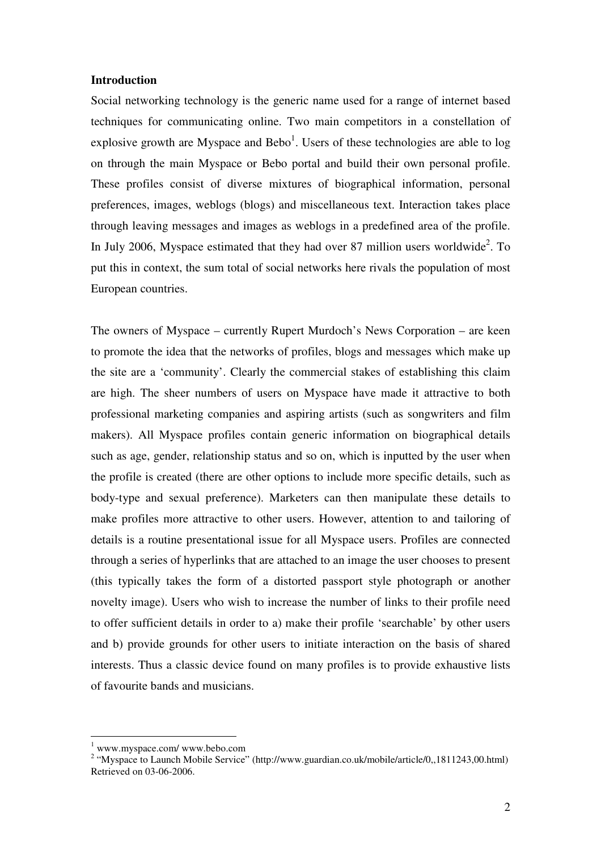# **Introduction**

Social networking technology is the generic name used for a range of internet based techniques for communicating online. Two main competitors in a constellation of explosive growth are Myspace and Bebo<sup>1</sup>. Users of these technologies are able to log on through the main Myspace or Bebo portal and build their own personal profile. These profiles consist of diverse mixtures of biographical information, personal preferences, images, weblogs (blogs) and miscellaneous text. Interaction takes place through leaving messages and images as weblogs in a predefined area of the profile. In July 2006, Myspace estimated that they had over 87 million users worldwide<sup>2</sup>. To put this in context, the sum total of social networks here rivals the population of most European countries.

The owners of Myspace – currently Rupert Murdoch's News Corporation – are keen to promote the idea that the networks of profiles, blogs and messages which make up the site are a 'community'. Clearly the commercial stakes of establishing this claim are high. The sheer numbers of users on Myspace have made it attractive to both professional marketing companies and aspiring artists (such as songwriters and film makers). All Myspace profiles contain generic information on biographical details such as age, gender, relationship status and so on, which is inputted by the user when the profile is created (there are other options to include more specific details, such as body-type and sexual preference). Marketers can then manipulate these details to make profiles more attractive to other users. However, attention to and tailoring of details is a routine presentational issue for all Myspace users. Profiles are connected through a series of hyperlinks that are attached to an image the user chooses to present (this typically takes the form of a distorted passport style photograph or another novelty image). Users who wish to increase the number of links to their profile need to offer sufficient details in order to a) make their profile 'searchable' by other users and b) provide grounds for other users to initiate interaction on the basis of shared interests. Thus a classic device found on many profiles is to provide exhaustive lists of favourite bands and musicians.

 $\overline{a}$ 

<sup>1</sup> www.myspace.com/ www.bebo.com

<sup>&</sup>lt;sup>2</sup> "Myspace to Launch Mobile Service" (http://www.guardian.co.uk/mobile/article/0,,1811243,00.html) Retrieved on 03-06-2006.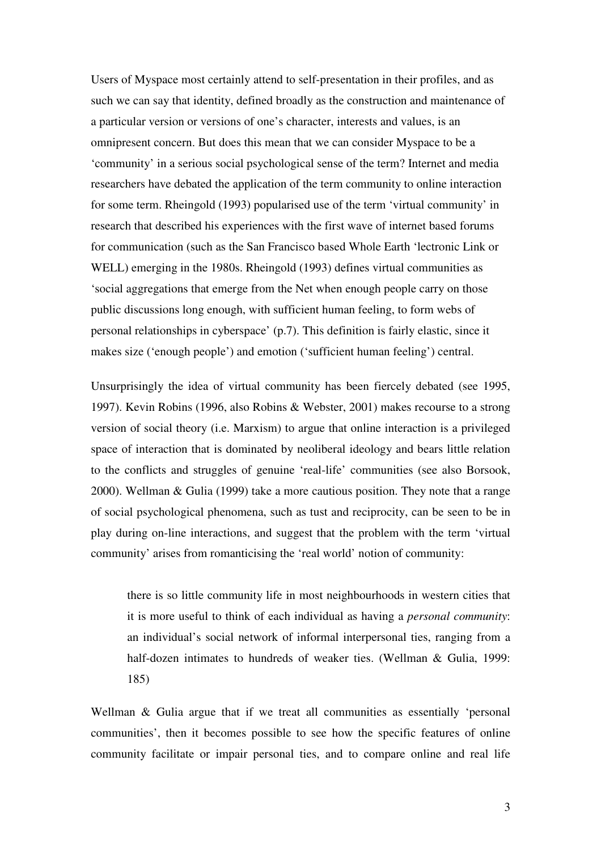Users of Myspace most certainly attend to self-presentation in their profiles, and as such we can say that identity, defined broadly as the construction and maintenance of a particular version or versions of one's character, interests and values, is an omnipresent concern. But does this mean that we can consider Myspace to be a 'community' in a serious social psychological sense of the term? Internet and media researchers have debated the application of the term community to online interaction for some term. Rheingold (1993) popularised use of the term 'virtual community' in research that described his experiences with the first wave of internet based forums for communication (such as the San Francisco based Whole Earth 'lectronic Link or WELL) emerging in the 1980s. Rheingold (1993) defines virtual communities as 'social aggregations that emerge from the Net when enough people carry on those public discussions long enough, with sufficient human feeling, to form webs of personal relationships in cyberspace' (p.7). This definition is fairly elastic, since it makes size ('enough people') and emotion ('sufficient human feeling') central.

Unsurprisingly the idea of virtual community has been fiercely debated (see 1995, 1997). Kevin Robins (1996, also Robins & Webster, 2001) makes recourse to a strong version of social theory (i.e. Marxism) to argue that online interaction is a privileged space of interaction that is dominated by neoliberal ideology and bears little relation to the conflicts and struggles of genuine 'real-life' communities (see also Borsook, 2000). Wellman & Gulia (1999) take a more cautious position. They note that a range of social psychological phenomena, such as tust and reciprocity, can be seen to be in play during on-line interactions, and suggest that the problem with the term 'virtual community' arises from romanticising the 'real world' notion of community:

there is so little community life in most neighbourhoods in western cities that it is more useful to think of each individual as having a *personal community*: an individual's social network of informal interpersonal ties, ranging from a half-dozen intimates to hundreds of weaker ties. (Wellman & Gulia, 1999: 185)

Wellman & Gulia argue that if we treat all communities as essentially 'personal communities', then it becomes possible to see how the specific features of online community facilitate or impair personal ties, and to compare online and real life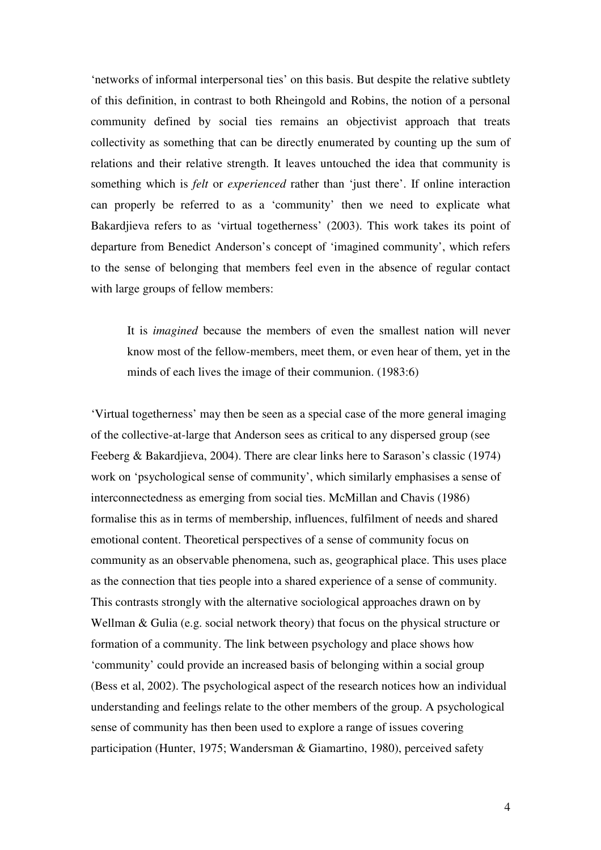'networks of informal interpersonal ties' on this basis. But despite the relative subtlety of this definition, in contrast to both Rheingold and Robins, the notion of a personal community defined by social ties remains an objectivist approach that treats collectivity as something that can be directly enumerated by counting up the sum of relations and their relative strength. It leaves untouched the idea that community is something which is *felt* or *experienced* rather than 'just there'. If online interaction can properly be referred to as a 'community' then we need to explicate what Bakardjieva refers to as 'virtual togetherness' (2003). This work takes its point of departure from Benedict Anderson's concept of 'imagined community', which refers to the sense of belonging that members feel even in the absence of regular contact with large groups of fellow members:

It is *imagined* because the members of even the smallest nation will never know most of the fellow-members, meet them, or even hear of them, yet in the minds of each lives the image of their communion. (1983:6)

'Virtual togetherness' may then be seen as a special case of the more general imaging of the collective-at-large that Anderson sees as critical to any dispersed group (see Feeberg & Bakardjieva, 2004). There are clear links here to Sarason's classic (1974) work on 'psychological sense of community', which similarly emphasises a sense of interconnectedness as emerging from social ties. McMillan and Chavis (1986) formalise this as in terms of membership, influences, fulfilment of needs and shared emotional content. Theoretical perspectives of a sense of community focus on community as an observable phenomena, such as, geographical place. This uses place as the connection that ties people into a shared experience of a sense of community. This contrasts strongly with the alternative sociological approaches drawn on by Wellman & Gulia (e.g. social network theory) that focus on the physical structure or formation of a community. The link between psychology and place shows how 'community' could provide an increased basis of belonging within a social group (Bess et al, 2002). The psychological aspect of the research notices how an individual understanding and feelings relate to the other members of the group. A psychological sense of community has then been used to explore a range of issues covering participation (Hunter, 1975; Wandersman & Giamartino, 1980), perceived safety

4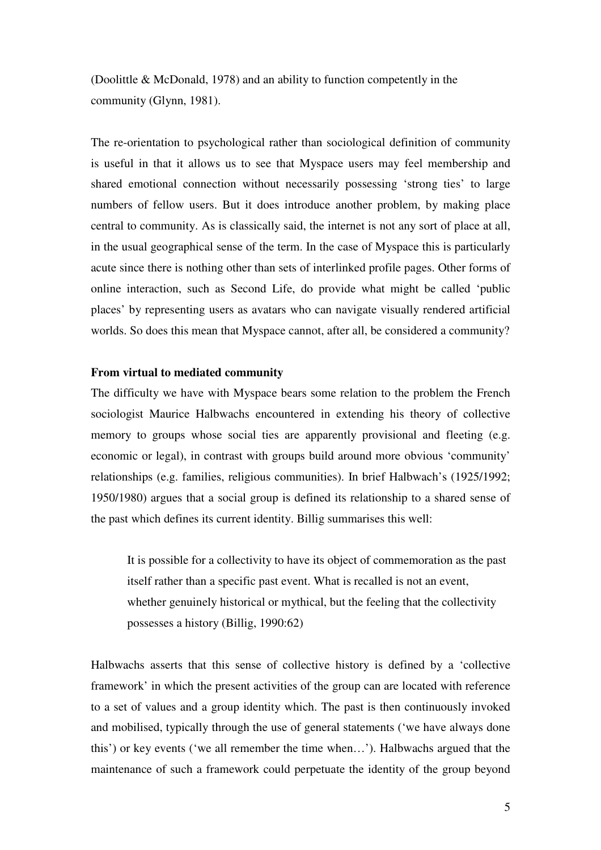(Doolittle & McDonald, 1978) and an ability to function competently in the community (Glynn, 1981).

The re-orientation to psychological rather than sociological definition of community is useful in that it allows us to see that Myspace users may feel membership and shared emotional connection without necessarily possessing 'strong ties' to large numbers of fellow users. But it does introduce another problem, by making place central to community. As is classically said, the internet is not any sort of place at all, in the usual geographical sense of the term. In the case of Myspace this is particularly acute since there is nothing other than sets of interlinked profile pages. Other forms of online interaction, such as Second Life, do provide what might be called 'public places' by representing users as avatars who can navigate visually rendered artificial worlds. So does this mean that Myspace cannot, after all, be considered a community?

# **From virtual to mediated community**

The difficulty we have with Myspace bears some relation to the problem the French sociologist Maurice Halbwachs encountered in extending his theory of collective memory to groups whose social ties are apparently provisional and fleeting (e.g. economic or legal), in contrast with groups build around more obvious 'community' relationships (e.g. families, religious communities). In brief Halbwach's (1925/1992; 1950/1980) argues that a social group is defined its relationship to a shared sense of the past which defines its current identity. Billig summarises this well:

It is possible for a collectivity to have its object of commemoration as the past itself rather than a specific past event. What is recalled is not an event, whether genuinely historical or mythical, but the feeling that the collectivity possesses a history (Billig, 1990:62)

Halbwachs asserts that this sense of collective history is defined by a 'collective framework' in which the present activities of the group can are located with reference to a set of values and a group identity which. The past is then continuously invoked and mobilised, typically through the use of general statements ('we have always done this') or key events ('we all remember the time when…'). Halbwachs argued that the maintenance of such a framework could perpetuate the identity of the group beyond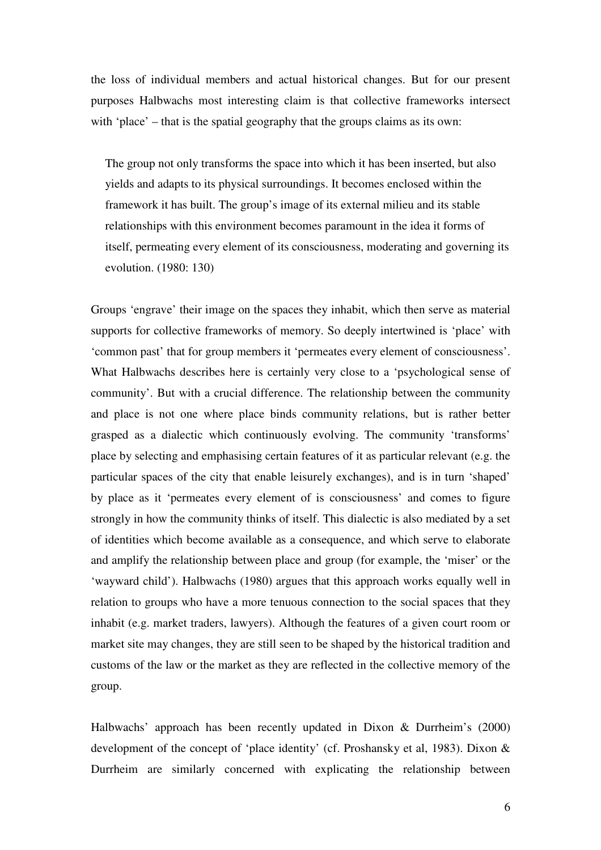the loss of individual members and actual historical changes. But for our present purposes Halbwachs most interesting claim is that collective frameworks intersect with 'place' – that is the spatial geography that the groups claims as its own:

The group not only transforms the space into which it has been inserted, but also yields and adapts to its physical surroundings. It becomes enclosed within the framework it has built. The group's image of its external milieu and its stable relationships with this environment becomes paramount in the idea it forms of itself, permeating every element of its consciousness, moderating and governing its evolution. (1980: 130)

Groups 'engrave' their image on the spaces they inhabit, which then serve as material supports for collective frameworks of memory. So deeply intertwined is 'place' with 'common past' that for group members it 'permeates every element of consciousness'. What Halbwachs describes here is certainly very close to a 'psychological sense of community'. But with a crucial difference. The relationship between the community and place is not one where place binds community relations, but is rather better grasped as a dialectic which continuously evolving. The community 'transforms' place by selecting and emphasising certain features of it as particular relevant (e.g. the particular spaces of the city that enable leisurely exchanges), and is in turn 'shaped' by place as it 'permeates every element of is consciousness' and comes to figure strongly in how the community thinks of itself. This dialectic is also mediated by a set of identities which become available as a consequence, and which serve to elaborate and amplify the relationship between place and group (for example, the 'miser' or the 'wayward child'). Halbwachs (1980) argues that this approach works equally well in relation to groups who have a more tenuous connection to the social spaces that they inhabit (e.g. market traders, lawyers). Although the features of a given court room or market site may changes, they are still seen to be shaped by the historical tradition and customs of the law or the market as they are reflected in the collective memory of the group.

Halbwachs' approach has been recently updated in Dixon & Durrheim's (2000) development of the concept of 'place identity' (cf. Proshansky et al, 1983). Dixon & Durrheim are similarly concerned with explicating the relationship between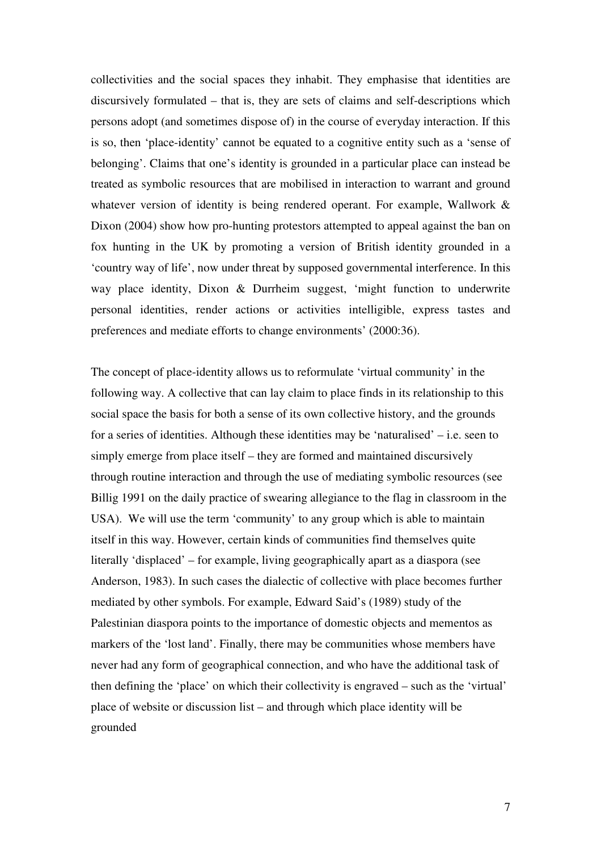collectivities and the social spaces they inhabit. They emphasise that identities are discursively formulated – that is, they are sets of claims and self-descriptions which persons adopt (and sometimes dispose of) in the course of everyday interaction. If this is so, then 'place-identity' cannot be equated to a cognitive entity such as a 'sense of belonging'. Claims that one's identity is grounded in a particular place can instead be treated as symbolic resources that are mobilised in interaction to warrant and ground whatever version of identity is being rendered operant. For example, Wallwork & Dixon (2004) show how pro-hunting protestors attempted to appeal against the ban on fox hunting in the UK by promoting a version of British identity grounded in a 'country way of life', now under threat by supposed governmental interference. In this way place identity, Dixon & Durrheim suggest, 'might function to underwrite personal identities, render actions or activities intelligible, express tastes and preferences and mediate efforts to change environments' (2000:36).

The concept of place-identity allows us to reformulate 'virtual community' in the following way. A collective that can lay claim to place finds in its relationship to this social space the basis for both a sense of its own collective history, and the grounds for a series of identities. Although these identities may be 'naturalised' – i.e. seen to simply emerge from place itself – they are formed and maintained discursively through routine interaction and through the use of mediating symbolic resources (see Billig 1991 on the daily practice of swearing allegiance to the flag in classroom in the USA). We will use the term 'community' to any group which is able to maintain itself in this way. However, certain kinds of communities find themselves quite literally 'displaced' – for example, living geographically apart as a diaspora (see Anderson, 1983). In such cases the dialectic of collective with place becomes further mediated by other symbols. For example, Edward Said's (1989) study of the Palestinian diaspora points to the importance of domestic objects and mementos as markers of the 'lost land'. Finally, there may be communities whose members have never had any form of geographical connection, and who have the additional task of then defining the 'place' on which their collectivity is engraved – such as the 'virtual' place of website or discussion list – and through which place identity will be grounded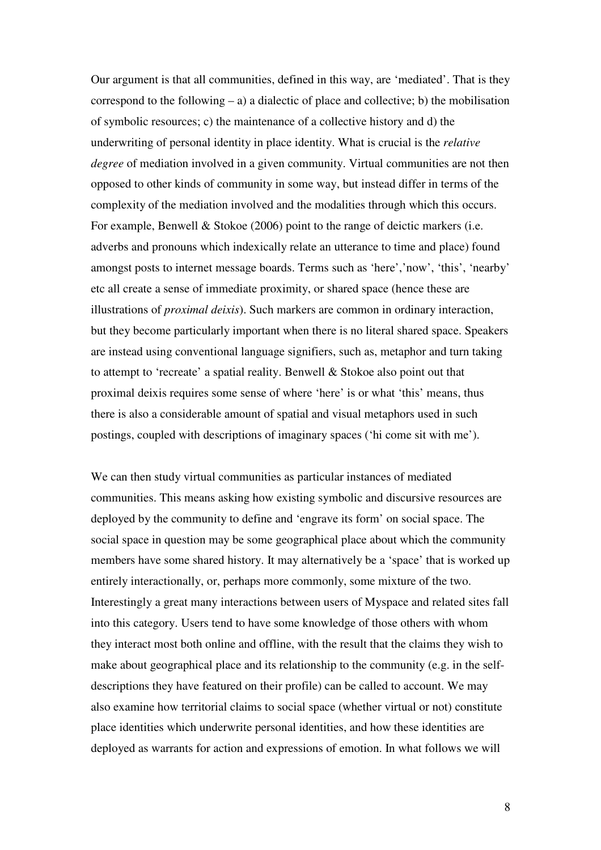Our argument is that all communities, defined in this way, are 'mediated'. That is they correspond to the following  $- a$ ) a dialectic of place and collective; b) the mobilisation of symbolic resources; c) the maintenance of a collective history and d) the underwriting of personal identity in place identity. What is crucial is the *relative degree* of mediation involved in a given community. Virtual communities are not then opposed to other kinds of community in some way, but instead differ in terms of the complexity of the mediation involved and the modalities through which this occurs. For example, Benwell & Stokoe (2006) point to the range of deictic markers (i.e. adverbs and pronouns which indexically relate an utterance to time and place) found amongst posts to internet message boards. Terms such as 'here','now', 'this', 'nearby' etc all create a sense of immediate proximity, or shared space (hence these are illustrations of *proximal deixis*). Such markers are common in ordinary interaction, but they become particularly important when there is no literal shared space. Speakers are instead using conventional language signifiers, such as, metaphor and turn taking to attempt to 'recreate' a spatial reality. Benwell & Stokoe also point out that proximal deixis requires some sense of where 'here' is or what 'this' means, thus there is also a considerable amount of spatial and visual metaphors used in such postings, coupled with descriptions of imaginary spaces ('hi come sit with me').

We can then study virtual communities as particular instances of mediated communities. This means asking how existing symbolic and discursive resources are deployed by the community to define and 'engrave its form' on social space. The social space in question may be some geographical place about which the community members have some shared history. It may alternatively be a 'space' that is worked up entirely interactionally, or, perhaps more commonly, some mixture of the two. Interestingly a great many interactions between users of Myspace and related sites fall into this category. Users tend to have some knowledge of those others with whom they interact most both online and offline, with the result that the claims they wish to make about geographical place and its relationship to the community (e.g. in the selfdescriptions they have featured on their profile) can be called to account. We may also examine how territorial claims to social space (whether virtual or not) constitute place identities which underwrite personal identities, and how these identities are deployed as warrants for action and expressions of emotion. In what follows we will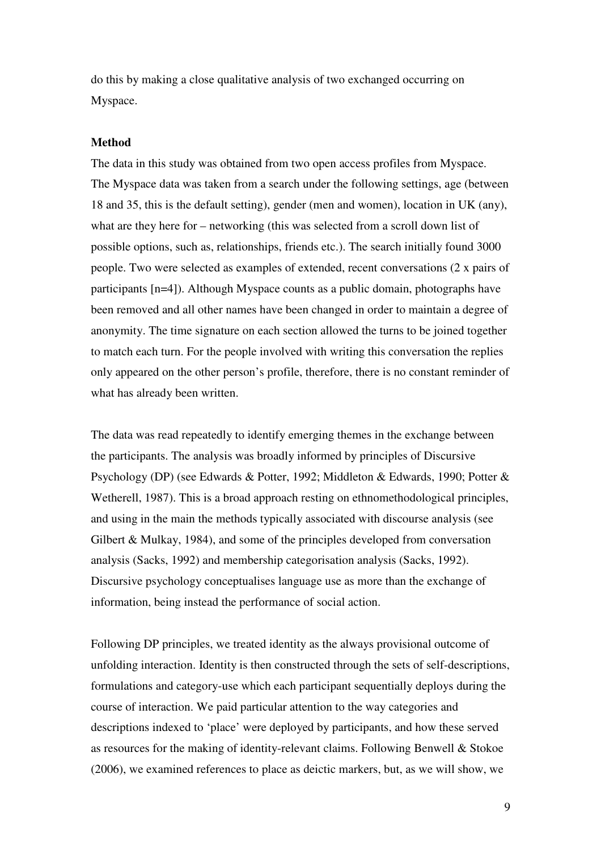do this by making a close qualitative analysis of two exchanged occurring on Myspace.

# **Method**

The data in this study was obtained from two open access profiles from Myspace. The Myspace data was taken from a search under the following settings, age (between 18 and 35, this is the default setting), gender (men and women), location in UK (any), what are they here for – networking (this was selected from a scroll down list of possible options, such as, relationships, friends etc.). The search initially found 3000 people. Two were selected as examples of extended, recent conversations (2 x pairs of participants [n=4]). Although Myspace counts as a public domain, photographs have been removed and all other names have been changed in order to maintain a degree of anonymity. The time signature on each section allowed the turns to be joined together to match each turn. For the people involved with writing this conversation the replies only appeared on the other person's profile, therefore, there is no constant reminder of what has already been written.

The data was read repeatedly to identify emerging themes in the exchange between the participants. The analysis was broadly informed by principles of Discursive Psychology (DP) (see Edwards & Potter, 1992; Middleton & Edwards, 1990; Potter & Wetherell, 1987). This is a broad approach resting on ethnomethodological principles, and using in the main the methods typically associated with discourse analysis (see Gilbert & Mulkay, 1984), and some of the principles developed from conversation analysis (Sacks, 1992) and membership categorisation analysis (Sacks, 1992). Discursive psychology conceptualises language use as more than the exchange of information, being instead the performance of social action.

Following DP principles, we treated identity as the always provisional outcome of unfolding interaction. Identity is then constructed through the sets of self-descriptions, formulations and category-use which each participant sequentially deploys during the course of interaction. We paid particular attention to the way categories and descriptions indexed to 'place' were deployed by participants, and how these served as resources for the making of identity-relevant claims. Following Benwell & Stokoe (2006), we examined references to place as deictic markers, but, as we will show, we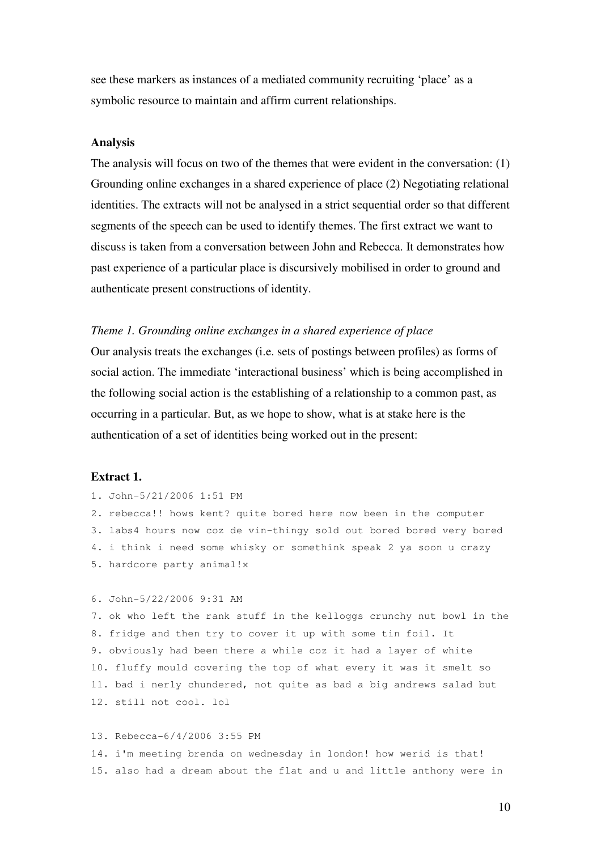see these markers as instances of a mediated community recruiting 'place' as a symbolic resource to maintain and affirm current relationships.

## **Analysis**

The analysis will focus on two of the themes that were evident in the conversation: (1) Grounding online exchanges in a shared experience of place (2) Negotiating relational identities. The extracts will not be analysed in a strict sequential order so that different segments of the speech can be used to identify themes. The first extract we want to discuss is taken from a conversation between John and Rebecca. It demonstrates how past experience of a particular place is discursively mobilised in order to ground and authenticate present constructions of identity.

## *Theme 1. Grounding online exchanges in a shared experience of place*

Our analysis treats the exchanges (i.e. sets of postings between profiles) as forms of social action. The immediate 'interactional business' which is being accomplished in the following social action is the establishing of a relationship to a common past, as occurring in a particular. But, as we hope to show, what is at stake here is the authentication of a set of identities being worked out in the present:

## **Extract 1.**

1. John-5/21/2006 1:51 PM

2. rebecca!! hows kent? quite bored here now been in the computer 3. labs4 hours now coz de vin-thingy sold out bored bored very bored 4. i think i need some whisky or somethink speak 2 ya soon u crazy 5. hardcore party animal!x

#### 6. John-5/22/2006 9:31 AM

7. ok who left the rank stuff in the kelloggs crunchy nut bowl in the 8. fridge and then try to cover it up with some tin foil. It 9. obviously had been there a while coz it had a layer of white 10. fluffy mould covering the top of what every it was it smelt so 11. bad i nerly chundered, not quite as bad a big andrews salad but 12. still not cool. lol

13. Rebecca-6/4/2006 3:55 PM

14. i'm meeting brenda on wednesday in london! how werid is that! 15. also had a dream about the flat and u and little anthony were in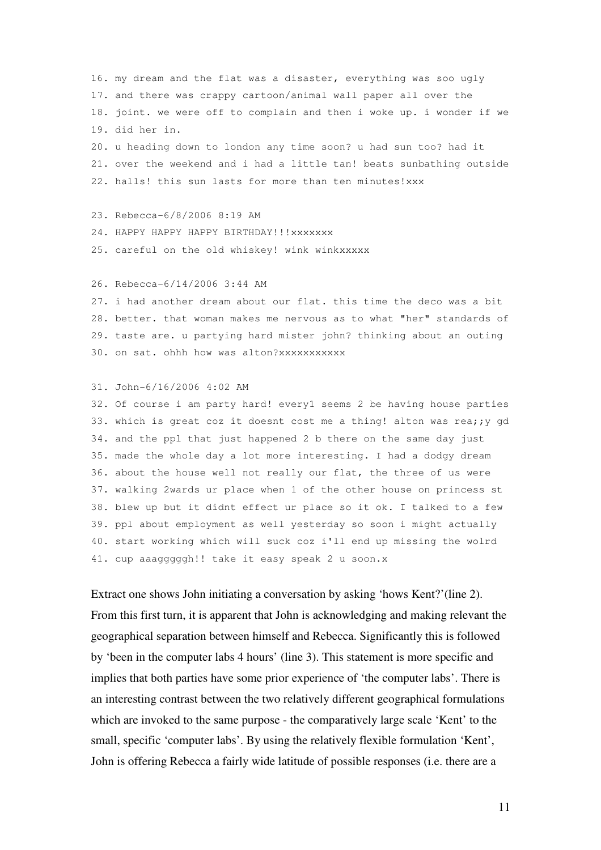16. my dream and the flat was a disaster, everything was soo ugly 17. and there was crappy cartoon/animal wall paper all over the 18. joint. we were off to complain and then i woke up. i wonder if we 19. did her in. 20. u heading down to london any time soon? u had sun too? had it 21. over the weekend and i had a little tan! beats sunbathing outside 22. halls! this sun lasts for more than ten minutes!xxx

23. Rebecca-6/8/2006 8:19 AM 24. HAPPY HAPPY HAPPY BIRTHDAY!!!xxxxxxx 25. careful on the old whiskey! wink winkxxxxx

26. Rebecca-6/14/2006 3:44 AM

27. i had another dream about our flat. this time the deco was a bit 28. better. that woman makes me nervous as to what "her" standards of 29. taste are. u partying hard mister john? thinking about an outing 30. on sat. ohhh how was alton?xxxxxxxxxxx

#### 31. John-6/16/2006 4:02 AM

32. Of course i am party hard! every1 seems 2 be having house parties 33. which is great coz it doesnt cost me a thing! alton was rea;;y gd 34. and the ppl that just happened 2 b there on the same day just 35. made the whole day a lot more interesting. I had a dodgy dream 36. about the house well not really our flat, the three of us were 37. walking 2wards ur place when 1 of the other house on princess st 38. blew up but it didnt effect ur place so it ok. I talked to a few 39. ppl about employment as well yesterday so soon i might actually 40. start working which will suck coz i'll end up missing the wolrd 41. cup aaagggggh!! take it easy speak 2 u soon.x

Extract one shows John initiating a conversation by asking 'hows Kent?'(line 2). From this first turn, it is apparent that John is acknowledging and making relevant the geographical separation between himself and Rebecca. Significantly this is followed by 'been in the computer labs 4 hours' (line 3). This statement is more specific and implies that both parties have some prior experience of 'the computer labs'. There is an interesting contrast between the two relatively different geographical formulations which are invoked to the same purpose - the comparatively large scale 'Kent' to the small, specific 'computer labs'. By using the relatively flexible formulation 'Kent', John is offering Rebecca a fairly wide latitude of possible responses (i.e. there are a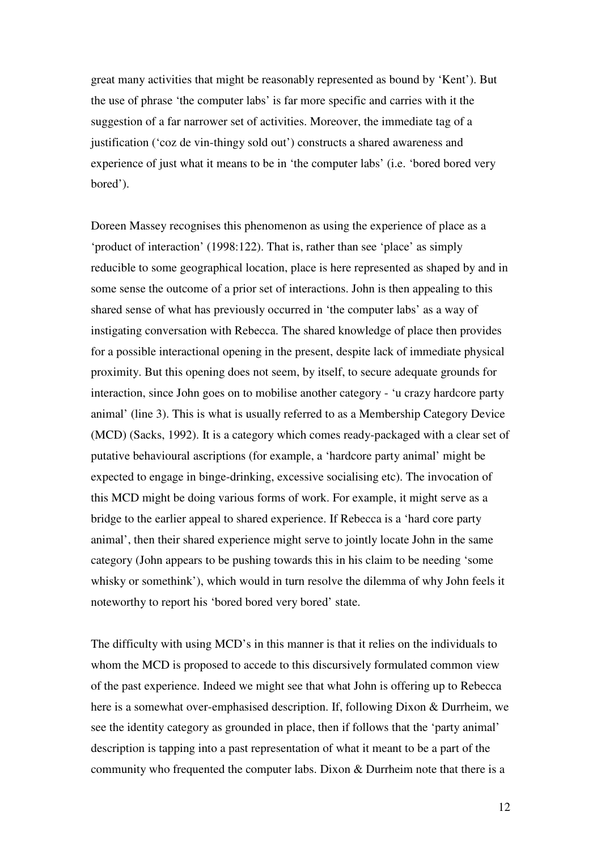great many activities that might be reasonably represented as bound by 'Kent'). But the use of phrase 'the computer labs' is far more specific and carries with it the suggestion of a far narrower set of activities. Moreover, the immediate tag of a justification ('coz de vin-thingy sold out') constructs a shared awareness and experience of just what it means to be in 'the computer labs' (i.e. 'bored bored very bored').

Doreen Massey recognises this phenomenon as using the experience of place as a 'product of interaction' (1998:122). That is, rather than see 'place' as simply reducible to some geographical location, place is here represented as shaped by and in some sense the outcome of a prior set of interactions. John is then appealing to this shared sense of what has previously occurred in 'the computer labs' as a way of instigating conversation with Rebecca. The shared knowledge of place then provides for a possible interactional opening in the present, despite lack of immediate physical proximity. But this opening does not seem, by itself, to secure adequate grounds for interaction, since John goes on to mobilise another category - 'u crazy hardcore party animal' (line 3). This is what is usually referred to as a Membership Category Device (MCD) (Sacks, 1992). It is a category which comes ready-packaged with a clear set of putative behavioural ascriptions (for example, a 'hardcore party animal' might be expected to engage in binge-drinking, excessive socialising etc). The invocation of this MCD might be doing various forms of work. For example, it might serve as a bridge to the earlier appeal to shared experience. If Rebecca is a 'hard core party animal', then their shared experience might serve to jointly locate John in the same category (John appears to be pushing towards this in his claim to be needing 'some whisky or somethink'), which would in turn resolve the dilemma of why John feels it noteworthy to report his 'bored bored very bored' state.

The difficulty with using MCD's in this manner is that it relies on the individuals to whom the MCD is proposed to accede to this discursively formulated common view of the past experience. Indeed we might see that what John is offering up to Rebecca here is a somewhat over-emphasised description. If, following Dixon & Durrheim, we see the identity category as grounded in place, then if follows that the 'party animal' description is tapping into a past representation of what it meant to be a part of the community who frequented the computer labs. Dixon & Durrheim note that there is a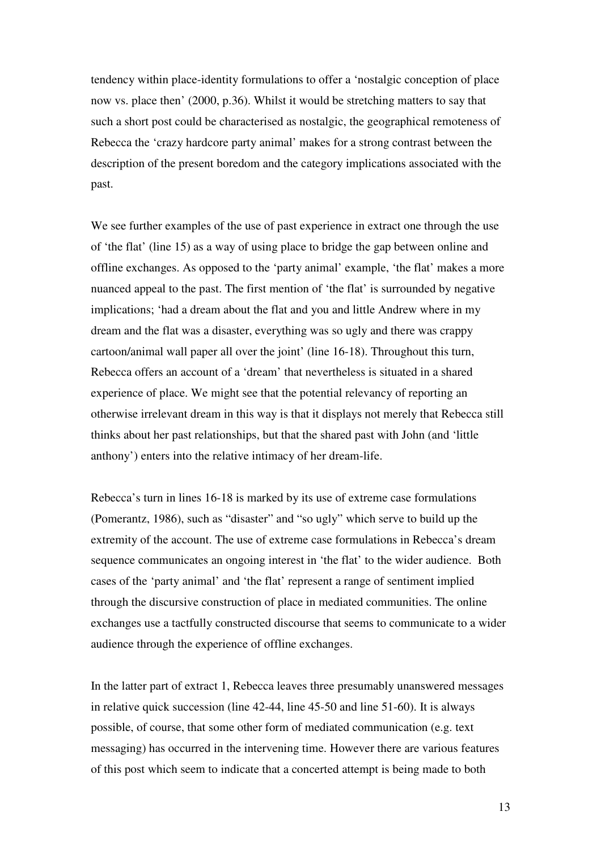tendency within place-identity formulations to offer a 'nostalgic conception of place now vs. place then' (2000, p.36). Whilst it would be stretching matters to say that such a short post could be characterised as nostalgic, the geographical remoteness of Rebecca the 'crazy hardcore party animal' makes for a strong contrast between the description of the present boredom and the category implications associated with the past.

We see further examples of the use of past experience in extract one through the use of 'the flat' (line 15) as a way of using place to bridge the gap between online and offline exchanges. As opposed to the 'party animal' example, 'the flat' makes a more nuanced appeal to the past. The first mention of 'the flat' is surrounded by negative implications; 'had a dream about the flat and you and little Andrew where in my dream and the flat was a disaster, everything was so ugly and there was crappy cartoon/animal wall paper all over the joint' (line 16-18). Throughout this turn, Rebecca offers an account of a 'dream' that nevertheless is situated in a shared experience of place. We might see that the potential relevancy of reporting an otherwise irrelevant dream in this way is that it displays not merely that Rebecca still thinks about her past relationships, but that the shared past with John (and 'little anthony') enters into the relative intimacy of her dream-life.

Rebecca's turn in lines 16-18 is marked by its use of extreme case formulations (Pomerantz, 1986), such as "disaster" and "so ugly" which serve to build up the extremity of the account. The use of extreme case formulations in Rebecca's dream sequence communicates an ongoing interest in 'the flat' to the wider audience. Both cases of the 'party animal' and 'the flat' represent a range of sentiment implied through the discursive construction of place in mediated communities. The online exchanges use a tactfully constructed discourse that seems to communicate to a wider audience through the experience of offline exchanges.

In the latter part of extract 1, Rebecca leaves three presumably unanswered messages in relative quick succession (line 42-44, line 45-50 and line 51-60). It is always possible, of course, that some other form of mediated communication (e.g. text messaging) has occurred in the intervening time. However there are various features of this post which seem to indicate that a concerted attempt is being made to both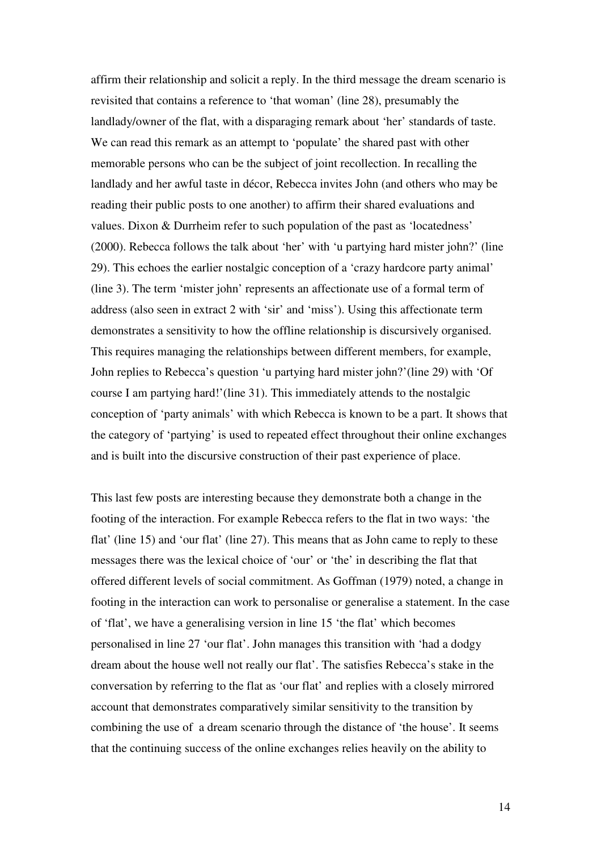affirm their relationship and solicit a reply. In the third message the dream scenario is revisited that contains a reference to 'that woman' (line 28), presumably the landlady/owner of the flat, with a disparaging remark about 'her' standards of taste. We can read this remark as an attempt to 'populate' the shared past with other memorable persons who can be the subject of joint recollection. In recalling the landlady and her awful taste in décor, Rebecca invites John (and others who may be reading their public posts to one another) to affirm their shared evaluations and values. Dixon & Durrheim refer to such population of the past as 'locatedness' (2000). Rebecca follows the talk about 'her' with 'u partying hard mister john?' (line 29). This echoes the earlier nostalgic conception of a 'crazy hardcore party animal' (line 3). The term 'mister john' represents an affectionate use of a formal term of address (also seen in extract 2 with 'sir' and 'miss'). Using this affectionate term demonstrates a sensitivity to how the offline relationship is discursively organised. This requires managing the relationships between different members, for example, John replies to Rebecca's question 'u partying hard mister john?'(line 29) with 'Of course I am partying hard!'(line 31). This immediately attends to the nostalgic conception of 'party animals' with which Rebecca is known to be a part. It shows that the category of 'partying' is used to repeated effect throughout their online exchanges and is built into the discursive construction of their past experience of place.

This last few posts are interesting because they demonstrate both a change in the footing of the interaction. For example Rebecca refers to the flat in two ways: 'the flat' (line 15) and 'our flat' (line 27). This means that as John came to reply to these messages there was the lexical choice of 'our' or 'the' in describing the flat that offered different levels of social commitment. As Goffman (1979) noted, a change in footing in the interaction can work to personalise or generalise a statement. In the case of 'flat', we have a generalising version in line 15 'the flat' which becomes personalised in line 27 'our flat'. John manages this transition with 'had a dodgy dream about the house well not really our flat'. The satisfies Rebecca's stake in the conversation by referring to the flat as 'our flat' and replies with a closely mirrored account that demonstrates comparatively similar sensitivity to the transition by combining the use of a dream scenario through the distance of 'the house'. It seems that the continuing success of the online exchanges relies heavily on the ability to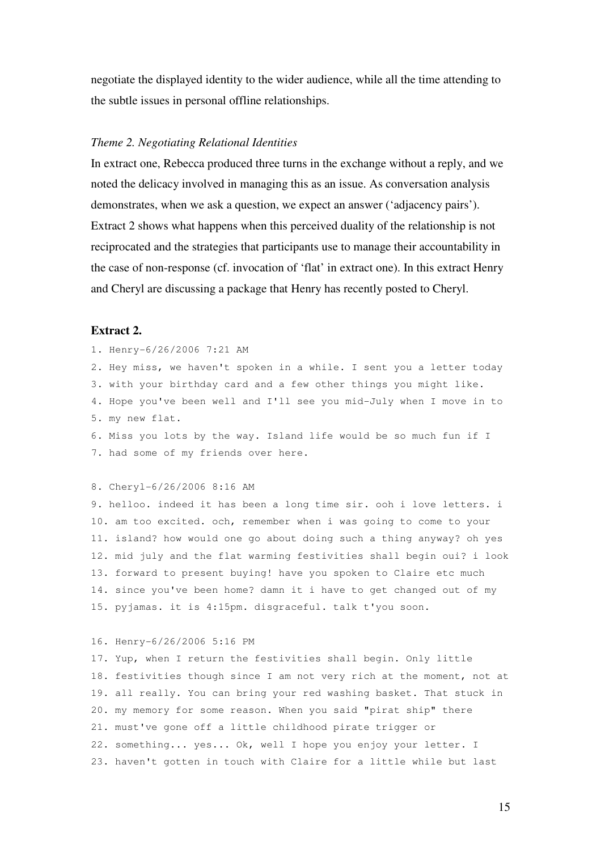negotiate the displayed identity to the wider audience, while all the time attending to the subtle issues in personal offline relationships.

### *Theme 2. Negotiating Relational Identities*

In extract one, Rebecca produced three turns in the exchange without a reply, and we noted the delicacy involved in managing this as an issue. As conversation analysis demonstrates, when we ask a question, we expect an answer ('adjacency pairs'). Extract 2 shows what happens when this perceived duality of the relationship is not reciprocated and the strategies that participants use to manage their accountability in the case of non-response (cf. invocation of 'flat' in extract one). In this extract Henry and Cheryl are discussing a package that Henry has recently posted to Cheryl.

## **Extract 2.**

1. Henry-6/26/2006 7:21 AM 2. Hey miss, we haven't spoken in a while. I sent you a letter today 3. with your birthday card and a few other things you might like. 4. Hope you've been well and I'll see you mid-July when I move in to 5. my new flat. 6. Miss you lots by the way. Island life would be so much fun if I 7. had some of my friends over here.

#### 8. Cheryl-6/26/2006 8:16 AM

9. helloo. indeed it has been a long time sir. ooh i love letters. i 10. am too excited. och, remember when i was going to come to your 11. island? how would one go about doing such a thing anyway? oh yes 12. mid july and the flat warming festivities shall begin oui? i look 13. forward to present buying! have you spoken to Claire etc much 14. since you've been home? damn it i have to get changed out of my 15. pyjamas. it is 4:15pm. disgraceful. talk t'you soon.

#### 16. Henry-6/26/2006 5:16 PM

17. Yup, when I return the festivities shall begin. Only little 18. festivities though since I am not very rich at the moment, not at 19. all really. You can bring your red washing basket. That stuck in 20. my memory for some reason. When you said "pirat ship" there 21. must've gone off a little childhood pirate trigger or 22. something... yes... Ok, well I hope you enjoy your letter. I 23. haven't gotten in touch with Claire for a little while but last

15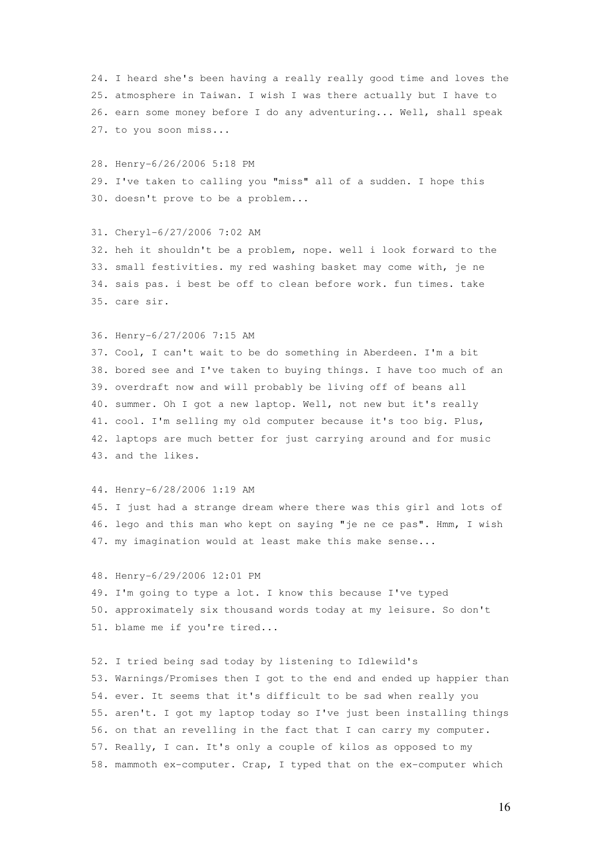24. I heard she's been having a really really good time and loves the 25. atmosphere in Taiwan. I wish I was there actually but I have to 26. earn some money before I do any adventuring... Well, shall speak 27. to you soon miss...

28. Henry-6/26/2006 5:18 PM 29. I've taken to calling you "miss" all of a sudden. I hope this 30. doesn't prove to be a problem...

31. Cheryl-6/27/2006 7:02 AM 32. heh it shouldn't be a problem, nope. well i look forward to the 33. small festivities. my red washing basket may come with, je ne 34. sais pas. i best be off to clean before work. fun times. take 35. care sir.

#### 36. Henry-6/27/2006 7:15 AM

37. Cool, I can't wait to be do something in Aberdeen. I'm a bit 38. bored see and I've taken to buying things. I have too much of an 39. overdraft now and will probably be living off of beans all 40. summer. Oh I got a new laptop. Well, not new but it's really 41. cool. I'm selling my old computer because it's too big. Plus, 42. laptops are much better for just carrying around and for music 43. and the likes.

#### 44. Henry-6/28/2006 1:19 AM

45. I just had a strange dream where there was this girl and lots of 46. lego and this man who kept on saying "je ne ce pas". Hmm, I wish 47. my imagination would at least make this make sense...

#### 48. Henry-6/29/2006 12:01 PM

49. I'm going to type a lot. I know this because I've typed 50. approximately six thousand words today at my leisure. So don't 51. blame me if you're tired...

52. I tried being sad today by listening to Idlewild's 53. Warnings/Promises then I got to the end and ended up happier than 54. ever. It seems that it's difficult to be sad when really you 55. aren't. I got my laptop today so I've just been installing things 56. on that an revelling in the fact that I can carry my computer. 57. Really, I can. It's only a couple of kilos as opposed to my 58. mammoth ex-computer. Crap, I typed that on the ex-computer which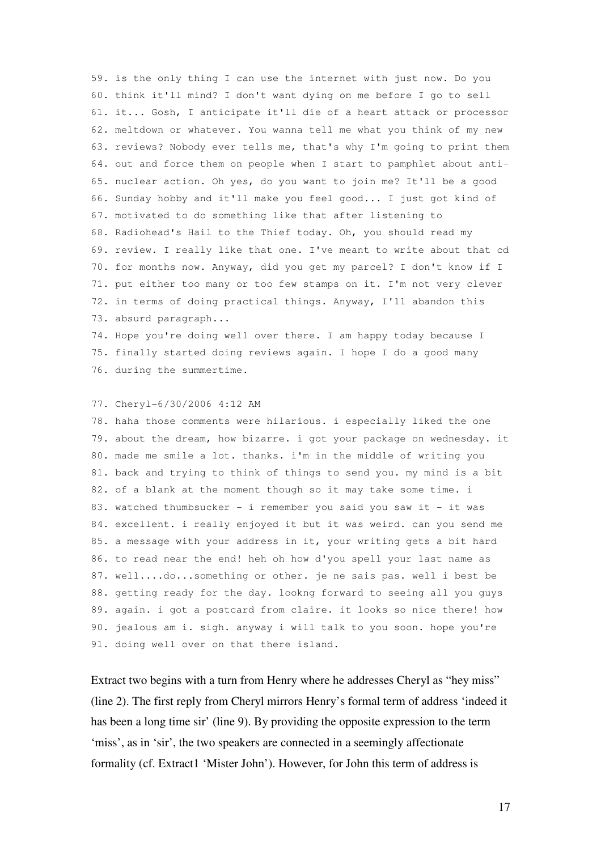59. is the only thing I can use the internet with just now. Do you 60. think it'll mind? I don't want dying on me before I go to sell 61. it... Gosh, I anticipate it'll die of a heart attack or processor 62. meltdown or whatever. You wanna tell me what you think of my new 63. reviews? Nobody ever tells me, that's why I'm going to print them 64. out and force them on people when I start to pamphlet about anti-65. nuclear action. Oh yes, do you want to join me? It'll be a good 66. Sunday hobby and it'll make you feel good... I just got kind of 67. motivated to do something like that after listening to 68. Radiohead's Hail to the Thief today. Oh, you should read my 69. review. I really like that one. I've meant to write about that cd 70. for months now. Anyway, did you get my parcel? I don't know if I 71. put either too many or too few stamps on it. I'm not very clever 72. in terms of doing practical things. Anyway, I'll abandon this 73. absurd paragraph... 74. Hope you're doing well over there. I am happy today because I 75. finally started doing reviews again. I hope I do a good many

76. during the summertime.

### 77. Cheryl-6/30/2006 4:12 AM

78. haha those comments were hilarious. i especially liked the one 79. about the dream, how bizarre. i got your package on wednesday. it 80. made me smile a lot. thanks. i'm in the middle of writing you 81. back and trying to think of things to send you. my mind is a bit 82. of a blank at the moment though so it may take some time. i 83. watched thumbsucker - i remember you said you saw it - it was 84. excellent. i really enjoyed it but it was weird. can you send me 85. a message with your address in it, your writing gets a bit hard 86. to read near the end! heh oh how d'you spell your last name as 87. well....do...something or other. je ne sais pas. well i best be 88. getting ready for the day. lookng forward to seeing all you guys 89. again. i got a postcard from claire. it looks so nice there! how 90. jealous am i. sigh. anyway i will talk to you soon. hope you're 91. doing well over on that there island.

Extract two begins with a turn from Henry where he addresses Cheryl as "hey miss" (line 2). The first reply from Cheryl mirrors Henry's formal term of address 'indeed it has been a long time sir' (line 9). By providing the opposite expression to the term 'miss', as in 'sir', the two speakers are connected in a seemingly affectionate formality (cf. Extract1 'Mister John'). However, for John this term of address is

17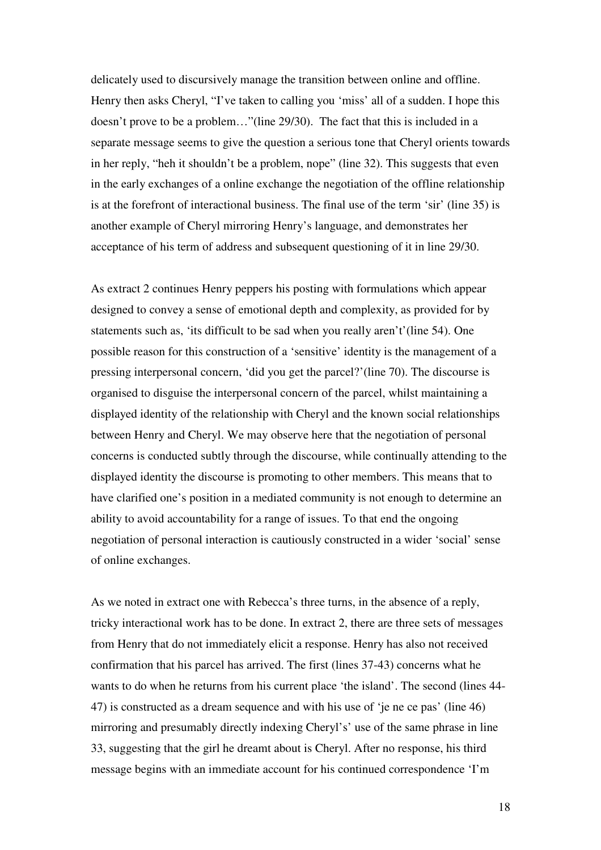delicately used to discursively manage the transition between online and offline. Henry then asks Cheryl, "I've taken to calling you 'miss' all of a sudden. I hope this doesn't prove to be a problem…"(line 29/30). The fact that this is included in a separate message seems to give the question a serious tone that Cheryl orients towards in her reply, "heh it shouldn't be a problem, nope" (line 32). This suggests that even in the early exchanges of a online exchange the negotiation of the offline relationship is at the forefront of interactional business. The final use of the term 'sir' (line 35) is another example of Cheryl mirroring Henry's language, and demonstrates her acceptance of his term of address and subsequent questioning of it in line 29/30.

As extract 2 continues Henry peppers his posting with formulations which appear designed to convey a sense of emotional depth and complexity, as provided for by statements such as, 'its difficult to be sad when you really aren't'(line 54). One possible reason for this construction of a 'sensitive' identity is the management of a pressing interpersonal concern, 'did you get the parcel?'(line 70). The discourse is organised to disguise the interpersonal concern of the parcel, whilst maintaining a displayed identity of the relationship with Cheryl and the known social relationships between Henry and Cheryl. We may observe here that the negotiation of personal concerns is conducted subtly through the discourse, while continually attending to the displayed identity the discourse is promoting to other members. This means that to have clarified one's position in a mediated community is not enough to determine an ability to avoid accountability for a range of issues. To that end the ongoing negotiation of personal interaction is cautiously constructed in a wider 'social' sense of online exchanges.

As we noted in extract one with Rebecca's three turns, in the absence of a reply, tricky interactional work has to be done. In extract 2, there are three sets of messages from Henry that do not immediately elicit a response. Henry has also not received confirmation that his parcel has arrived. The first (lines 37-43) concerns what he wants to do when he returns from his current place 'the island'. The second (lines 44- 47) is constructed as a dream sequence and with his use of 'je ne ce pas' (line 46) mirroring and presumably directly indexing Cheryl's' use of the same phrase in line 33, suggesting that the girl he dreamt about is Cheryl. After no response, his third message begins with an immediate account for his continued correspondence 'I'm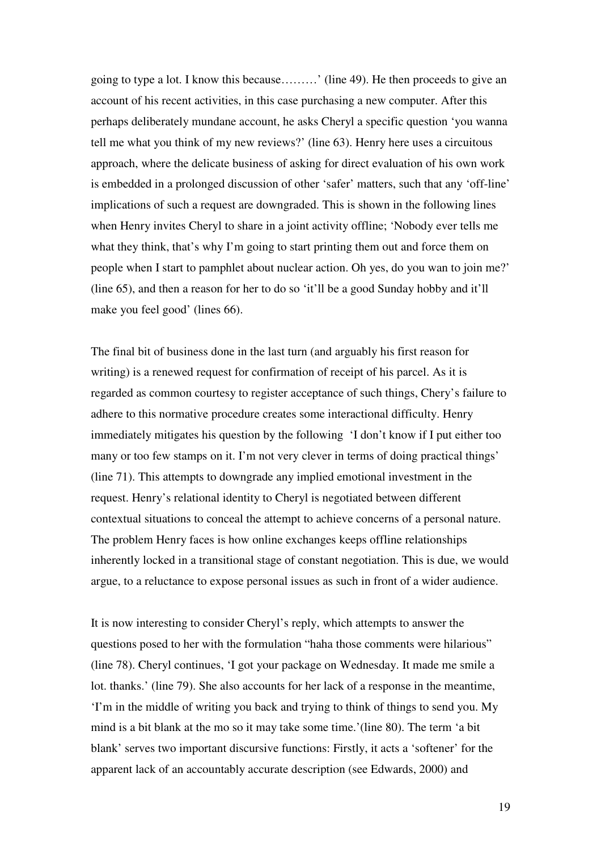going to type a lot. I know this because………' (line 49). He then proceeds to give an account of his recent activities, in this case purchasing a new computer. After this perhaps deliberately mundane account, he asks Cheryl a specific question 'you wanna tell me what you think of my new reviews?' (line 63). Henry here uses a circuitous approach, where the delicate business of asking for direct evaluation of his own work is embedded in a prolonged discussion of other 'safer' matters, such that any 'off-line' implications of such a request are downgraded. This is shown in the following lines when Henry invites Cheryl to share in a joint activity offline; 'Nobody ever tells me what they think, that's why I'm going to start printing them out and force them on people when I start to pamphlet about nuclear action. Oh yes, do you wan to join me?' (line 65), and then a reason for her to do so 'it'll be a good Sunday hobby and it'll make you feel good' (lines 66).

The final bit of business done in the last turn (and arguably his first reason for writing) is a renewed request for confirmation of receipt of his parcel. As it is regarded as common courtesy to register acceptance of such things, Chery's failure to adhere to this normative procedure creates some interactional difficulty. Henry immediately mitigates his question by the following 'I don't know if I put either too many or too few stamps on it. I'm not very clever in terms of doing practical things' (line 71). This attempts to downgrade any implied emotional investment in the request. Henry's relational identity to Cheryl is negotiated between different contextual situations to conceal the attempt to achieve concerns of a personal nature. The problem Henry faces is how online exchanges keeps offline relationships inherently locked in a transitional stage of constant negotiation. This is due, we would argue, to a reluctance to expose personal issues as such in front of a wider audience.

It is now interesting to consider Cheryl's reply, which attempts to answer the questions posed to her with the formulation "haha those comments were hilarious" (line 78). Cheryl continues, 'I got your package on Wednesday. It made me smile a lot. thanks.' (line 79). She also accounts for her lack of a response in the meantime, 'I'm in the middle of writing you back and trying to think of things to send you. My mind is a bit blank at the mo so it may take some time.'(line 80). The term 'a bit blank' serves two important discursive functions: Firstly, it acts a 'softener' for the apparent lack of an accountably accurate description (see Edwards, 2000) and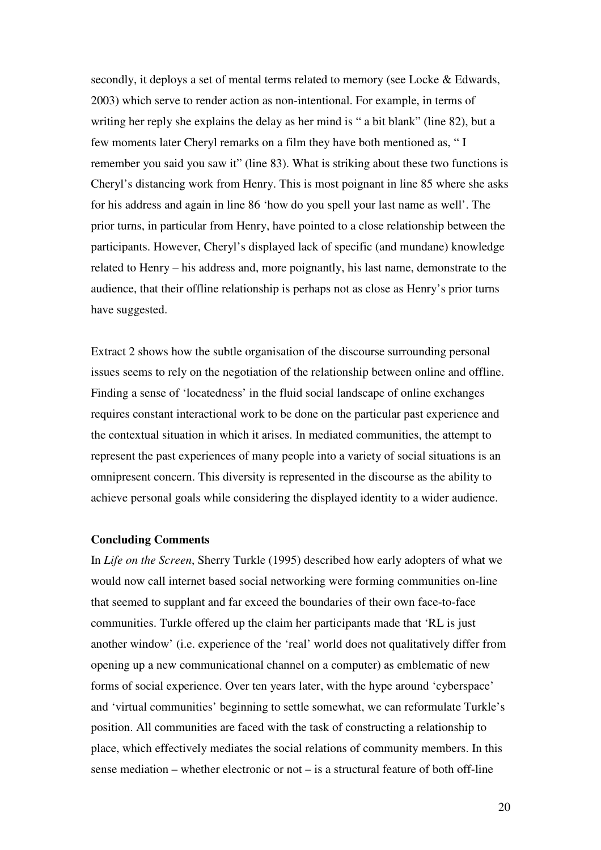secondly, it deploys a set of mental terms related to memory (see Locke & Edwards, 2003) which serve to render action as non-intentional. For example, in terms of writing her reply she explains the delay as her mind is " a bit blank" (line 82), but a few moments later Cheryl remarks on a film they have both mentioned as, " I remember you said you saw it" (line 83). What is striking about these two functions is Cheryl's distancing work from Henry. This is most poignant in line 85 where she asks for his address and again in line 86 'how do you spell your last name as well'. The prior turns, in particular from Henry, have pointed to a close relationship between the participants. However, Cheryl's displayed lack of specific (and mundane) knowledge related to Henry – his address and, more poignantly, his last name, demonstrate to the audience, that their offline relationship is perhaps not as close as Henry's prior turns have suggested.

Extract 2 shows how the subtle organisation of the discourse surrounding personal issues seems to rely on the negotiation of the relationship between online and offline. Finding a sense of 'locatedness' in the fluid social landscape of online exchanges requires constant interactional work to be done on the particular past experience and the contextual situation in which it arises. In mediated communities, the attempt to represent the past experiences of many people into a variety of social situations is an omnipresent concern. This diversity is represented in the discourse as the ability to achieve personal goals while considering the displayed identity to a wider audience.

# **Concluding Comments**

In *Life on the Screen*, Sherry Turkle (1995) described how early adopters of what we would now call internet based social networking were forming communities on-line that seemed to supplant and far exceed the boundaries of their own face-to-face communities. Turkle offered up the claim her participants made that 'RL is just another window' (i.e. experience of the 'real' world does not qualitatively differ from opening up a new communicational channel on a computer) as emblematic of new forms of social experience. Over ten years later, with the hype around 'cyberspace' and 'virtual communities' beginning to settle somewhat, we can reformulate Turkle's position. All communities are faced with the task of constructing a relationship to place, which effectively mediates the social relations of community members. In this sense mediation – whether electronic or not – is a structural feature of both off-line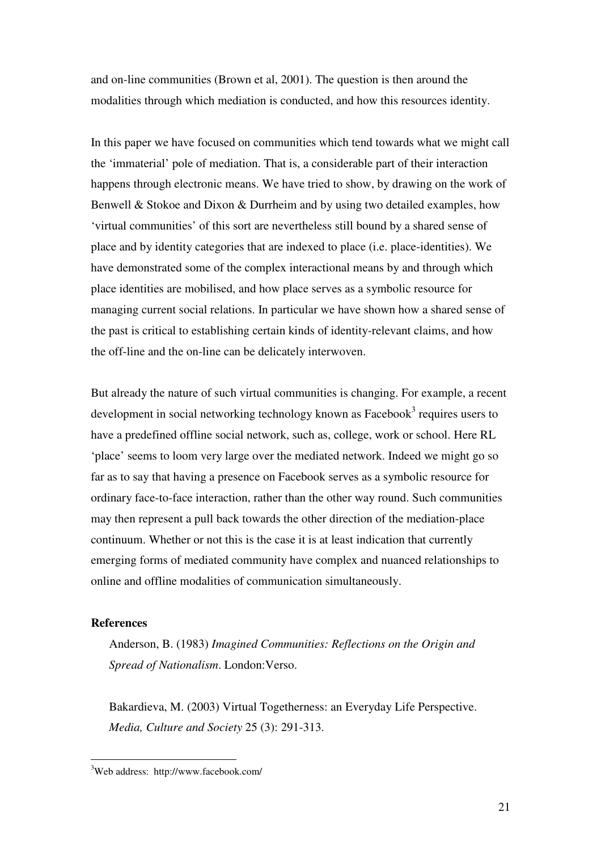and on-line communities (Brown et al, 2001). The question is then around the modalities through which mediation is conducted, and how this resources identity.

In this paper we have focused on communities which tend towards what we might call the 'immaterial' pole of mediation. That is, a considerable part of their interaction happens through electronic means. We have tried to show, by drawing on the work of Benwell & Stokoe and Dixon & Durrheim and by using two detailed examples, how 'virtual communities' of this sort are nevertheless still bound by a shared sense of place and by identity categories that are indexed to place (i.e. place-identities). We have demonstrated some of the complex interactional means by and through which place identities are mobilised, and how place serves as a symbolic resource for managing current social relations. In particular we have shown how a shared sense of the past is critical to establishing certain kinds of identity-relevant claims, and how the off-line and the on-line can be delicately interwoven.

But already the nature of such virtual communities is changing. For example, a recent development in social networking technology known as Facebook<sup>3</sup> requires users to have a predefined offline social network, such as, college, work or school. Here RL 'place' seems to loom very large over the mediated network. Indeed we might go so far as to say that having a presence on Facebook serves as a symbolic resource for ordinary face-to-face interaction, rather than the other way round. Such communities may then represent a pull back towards the other direction of the mediation-place continuum. Whether or not this is the case it is at least indication that currently emerging forms of mediated community have complex and nuanced relationships to online and offline modalities of communication simultaneously.

# **References**

 $\overline{a}$ 

Anderson, B. (1983) *Imagined Communities: Reflections on the Origin and Spread of Nationalism*. London:Verso.

Bakardieva, M. (2003) Virtual Togetherness: an Everyday Life Perspective. *Media, Culture and Society* 25 (3): 291-313.

<sup>3</sup>Web address: http://www.facebook.com/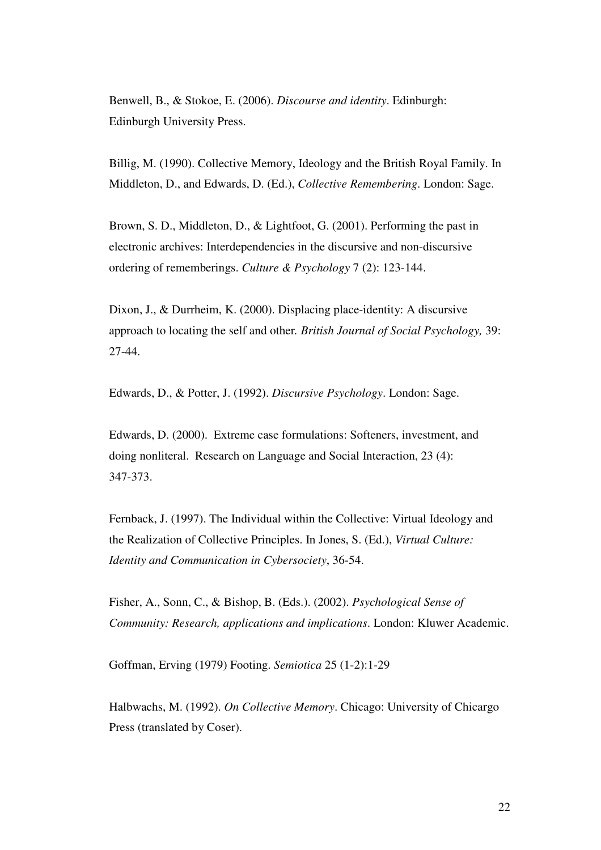Benwell, B., & Stokoe, E. (2006). *Discourse and identity*. Edinburgh: Edinburgh University Press.

Billig, M. (1990). Collective Memory, Ideology and the British Royal Family. In Middleton, D., and Edwards, D. (Ed.), *Collective Remembering*. London: Sage.

Brown, S. D., Middleton, D., & Lightfoot, G. (2001). Performing the past in electronic archives: Interdependencies in the discursive and non-discursive ordering of rememberings. *Culture & Psychology* 7 (2): 123-144.

Dixon, J., & Durrheim, K. (2000). Displacing place-identity: A discursive approach to locating the self and other*. British Journal of Social Psychology,* 39: 27-44.

Edwards, D., & Potter, J. (1992). *Discursive Psychology*. London: Sage.

Edwards, D. (2000). Extreme case formulations: Softeners, investment, and doing nonliteral. Research on Language and Social Interaction, 23 (4): 347-373.

Fernback, J. (1997). The Individual within the Collective: Virtual Ideology and the Realization of Collective Principles. In Jones, S. (Ed.), *Virtual Culture: Identity and Communication in Cybersociety*, 36-54.

Fisher, A., Sonn, C., & Bishop, B. (Eds.). (2002). *Psychological Sense of Community: Research, applications and implications*. London: Kluwer Academic.

Goffman, Erving (1979) Footing. *Semiotica* 25 (1-2):1-29

Halbwachs, M. (1992). *On Collective Memory*. Chicago: University of Chicargo Press (translated by Coser).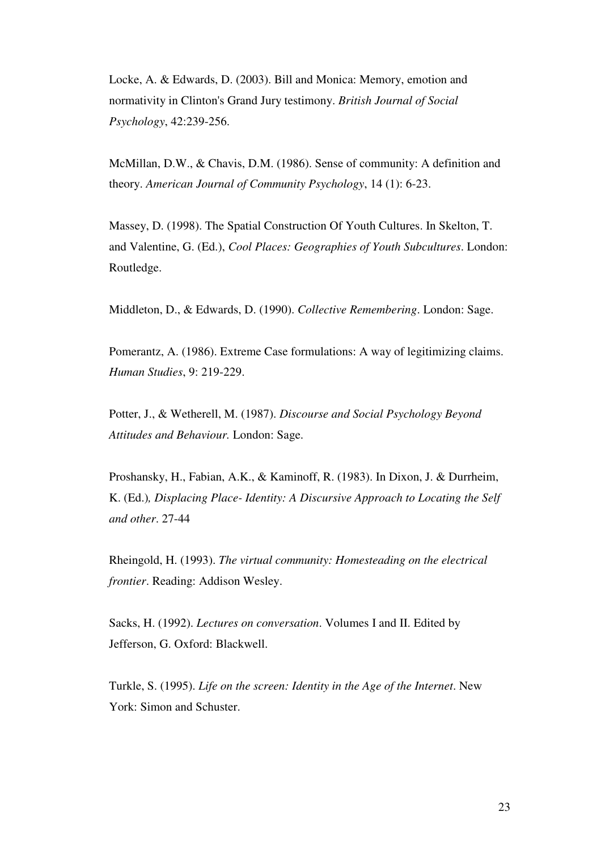Locke, A. & Edwards, D. (2003). Bill and Monica: Memory, emotion and normativity in Clinton's Grand Jury testimony. *British Journal of Social Psychology*, 42:239-256.

McMillan, D.W., & Chavis, D.M. (1986). Sense of community: A definition and theory. *American Journal of Community Psychology*, 14 (1): 6-23.

Massey, D. (1998). The Spatial Construction Of Youth Cultures. In Skelton, T. and Valentine, G. (Ed.), *Cool Places: Geographies of Youth Subcultures*. London: Routledge.

Middleton, D., & Edwards, D. (1990). *Collective Remembering*. London: Sage.

Pomerantz, A. (1986). Extreme Case formulations: A way of legitimizing claims. *Human Studies*, 9: 219-229.

Potter, J., & Wetherell, M. (1987). *Discourse and Social Psychology Beyond Attitudes and Behaviour.* London: Sage.

Proshansky, H., Fabian, A.K., & Kaminoff, R. (1983). In Dixon, J. & Durrheim, K. (Ed.)*, Displacing Place- Identity: A Discursive Approach to Locating the Self and other*. 27-44

Rheingold, H. (1993). *The virtual community: Homesteading on the electrical frontier*. Reading: Addison Wesley.

Sacks, H. (1992). *Lectures on conversation*. Volumes I and II. Edited by Jefferson, G. Oxford: Blackwell.

Turkle, S. (1995). *Life on the screen: Identity in the Age of the Internet*. New York: Simon and Schuster.